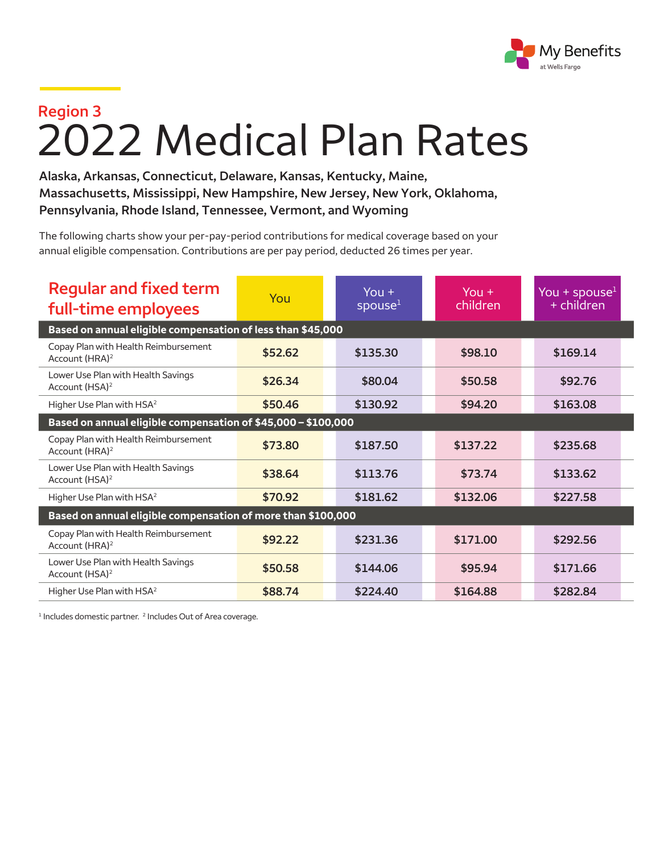

## **Region 3** 2022 Medical Plan Rates

**Alaska, Arkansas, Connecticut, Delaware, Kansas, Kentucky, Maine, Massachusetts, Mississippi, New Hampshire, New Jersey, New York, Oklahoma, Pennsylvania, Rhode Island, Tennessee, Vermont, and Wyoming**

The following charts show your per-pay-period contributions for medical coverage based on your annual eligible compensation. Contributions are per pay period, deducted 26 times per year.

| <b>Regular and fixed term</b><br>full-time employees               | You     | You $+$<br>spouse <sup>1</sup> | You $+$<br>children | You + spouse <sup>1</sup><br>+ children |  |  |  |
|--------------------------------------------------------------------|---------|--------------------------------|---------------------|-----------------------------------------|--|--|--|
| Based on annual eligible compensation of less than \$45,000        |         |                                |                     |                                         |  |  |  |
| Copay Plan with Health Reimbursement<br>Account (HRA) <sup>2</sup> | \$52.62 | \$135.30                       | \$98.10             | \$169.14                                |  |  |  |
| Lower Use Plan with Health Savings<br>Account (HSA) <sup>2</sup>   | \$26.34 | \$80.04                        | \$50.58             | \$92.76                                 |  |  |  |
| Higher Use Plan with HSA <sup>2</sup>                              | \$50.46 | \$130.92                       | \$94.20             | \$163.08                                |  |  |  |
| Based on annual eligible compensation of \$45,000 - \$100,000      |         |                                |                     |                                         |  |  |  |
| Copay Plan with Health Reimbursement<br>Account (HRA) <sup>2</sup> | \$73.80 | \$187.50                       | \$137.22            | \$235.68                                |  |  |  |
| Lower Use Plan with Health Savings<br>Account (HSA) <sup>2</sup>   | \$38.64 | \$113.76                       | \$73.74             | \$133.62                                |  |  |  |
| Higher Use Plan with HSA <sup>2</sup>                              | \$70.92 | \$181.62                       | \$132.06            | \$227.58                                |  |  |  |
| Based on annual eligible compensation of more than \$100,000       |         |                                |                     |                                         |  |  |  |
| Copay Plan with Health Reimbursement<br>Account (HRA) <sup>2</sup> | \$92.22 | \$231.36                       | \$171.00            | \$292.56                                |  |  |  |
| Lower Use Plan with Health Savings<br>Account (HSA) <sup>2</sup>   | \$50.58 | \$144.06                       | \$95.94             | \$171.66                                |  |  |  |
| Higher Use Plan with HSA <sup>2</sup>                              | \$88.74 | \$224.40                       | \$164.88            | \$282.84                                |  |  |  |

<sup>1</sup> Includes domestic partner.<sup>2</sup> Includes Out of Area coverage.